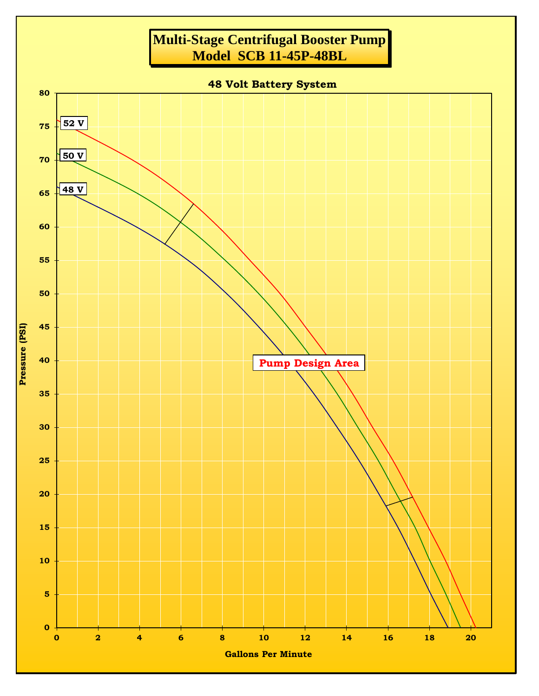